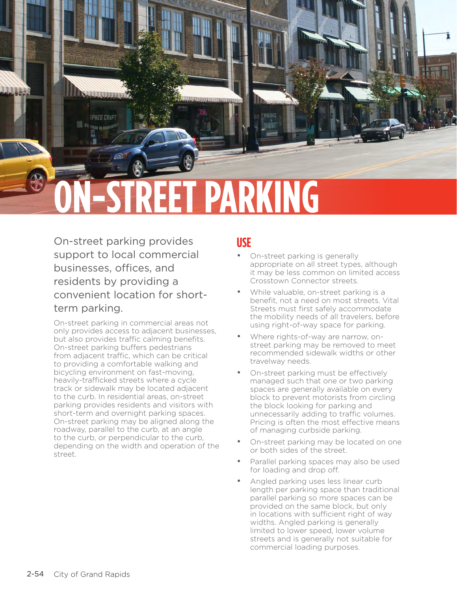

On-street parking provides support to local commercial businesses, offices, and residents by providing a convenient location for shortterm parking.

On-street parking in commercial areas not only provides access to adjacent businesses, but also provides traffic calming benefits. On-street parking buffers pedestrians from adjacent traffic, which can be critical to providing a comfortable walking and bicycling environment on fast-moving, heavily-trafficked streets where a cycle track or sidewalk may be located adjacent to the curb. In residential areas, on-street parking provides residents and visitors with short-term and overnight parking spaces. On-street parking may be aligned along the roadway, parallel to the curb, at an angle to the curb, or perpendicular to the curb, depending on the width and operation of the street.

### **USE**

- On-street parking is generally appropriate on all street types, although it may be less common on limited access Crosstown Connector streets.
- While valuable, on-street parking is a benefit, not a need on most streets. Vital Streets must first safely accommodate the mobility needs of all travelers, before using right-of-way space for parking.
- Where rights-of-way are narrow, onstreet parking may be removed to meet recommended sidewalk widths or other travelway needs.
- On-street parking must be effectively managed such that one or two parking spaces are generally available on every block to prevent motorists from circling the block looking for parking and unnecessarily adding to traffic volumes. Pricing is often the most effective means of managing curbside parking.
- On-street parking may be located on one or both sides of the street.
- Parallel parking spaces may also be used for loading and drop off.
- Angled parking uses less linear curb length per parking space than traditional parallel parking so more spaces can be provided on the same block, but only in locations with sufficient right of way widths. Angled parking is generally limited to lower speed, lower volume streets and is generally not suitable for commercial loading purposes.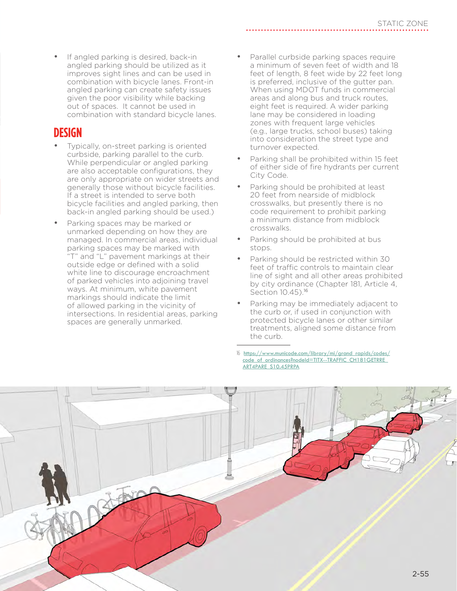If angled parking is desired, back-in angled parking should be utilized as it improves sight lines and can be used in combination with bicycle lanes. Front-in angled parking can create safety issues given the poor visibility while backing out of spaces. It cannot be used in combination with standard bicycle lanes.

#### **DESIGN**

- Typically, on-street parking is oriented curbside, parking parallel to the curb. While perpendicular or angled parking are also acceptable configurations, they are only appropriate on wider streets and generally those without bicycle facilities. If a street is intended to serve both bicycle facilities and angled parking, then back-in angled parking should be used.)
- Parking spaces may be marked or unmarked depending on how they are managed. In commercial areas, individual parking spaces may be marked with "T" and "L" pavement markings at their outside edge or defined with a solid white line to discourage encroachment of parked vehicles into adjoining travel ways. At minimum, white pavement markings should indicate the limit of allowed parking in the vicinity of intersections. In residential areas, parking spaces are generally unmarked.
- Parallel curbside parking spaces require a minimum of seven feet of width and 18 feet of length, 8 feet wide by 22 feet long is preferred, inclusive of the gutter pan. When using MDOT funds in commercial areas and along bus and truck routes, eight feet is required. A wider parking lane may be considered in loading zones with frequent large vehicles (e.g., large trucks, school buses) taking into consideration the street type and turnover expected.
- Parking shall be prohibited within 15 feet of either side of fire hydrants per current City Code.
- Parking should be prohibited at least 20 feet from nearside of midblock crosswalks, but presently there is no code requirement to prohibit parking a minimum distance from midblock crosswalks.
- Parking should be prohibited at bus stops.
- Parking should be restricted within 30 feet of traffic controls to maintain clear line of sight and all other areas prohibited by city ordinance (Chapter 181, Article 4, Section 10.45).<sup>16</sup>
- Parking may be immediately adjacent to the curb or, if used in conjunction with protected bicycle lanes or other similar treatments, aligned some distance from the curb.

16 [https://www.municode.com/library/mi/grand\\_rapids/codes/](https://www.municode.com/library/mi/grand_rapids/codes/code_of_ordinances?nodeId=TITX--TRAFFIC_CH181GETRRE_ART4PARE_S10.45PRPA) code\_of\_ordinances?nodeId=TITX--TRAFFIC\_CH181GETRRE [ART4PARE\\_S10.45PRPA](https://www.municode.com/library/mi/grand_rapids/codes/code_of_ordinances?nodeId=TITX--TRAFFIC_CH181GETRRE_ART4PARE_S10.45PRPA)

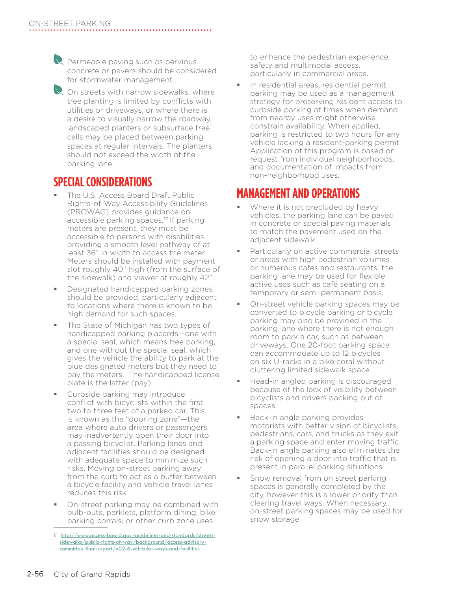R Permeable paving such as pervious concrete or pavers should be considered for stormwater management.

**Q** On streets with narrow sidewalks, where tree planting is limited by conflicts with utilities or driveways, or where there is a desire to visually narrow the roadway, landscaped planters or subsurface tree cells may be placed between parking spaces at regular intervals. The planters should not exceed the width of the parking lane.

### **SPECIAL CONSIDERATIONS**

- The U.S. Access Board Draft Public Rights-of-Way Accessibility Guidelines (PROWAG) provides guidance on accessible parking spaces.17 If parking meters are present, they must be accessible to persons with disabilities providing a smooth level pathway of at least 36" in width to access the meter. Meters should be installed with payment slot roughly 40" high (from the surface of the sidewalk) and viewer at roughly 42".
- Designated handicapped parking zones should be provided, particularly adjacent to locations where there is known to be high demand for such spaces.
- The State of Michigan has two types of handicapped parking placards—one with a special seal, which means free parking, and one without the special seal, which gives the vehicle the ability to park at the blue designated meters but they need to pay the meters. The handicapped license plate is the latter (pay).
- Curbside parking may introduce conflict with bicyclists within the first two to three feet of a parked car. This is known as the "dooring zone"—the area where auto drivers or passengers may inadvertently open their door into a passing bicyclist. Parking lanes and adjacent facilities should be designed with adequate space to minimize such risks. Moving on-street parking away from the curb to act as a buffer between a bicycle facility and vehicle travel lanes reduces this risk.
- On-street parking may be combined with bulb-outs, parklets, platform dining, bike parking corrals, or other curb zone uses

to enhance the pedestrian experience, safety and multimodal access, particularly in commercial areas.

 In residential areas, residential permit parking may be used as a management strategy for preserving resident access to curbside parking at times when demand from nearby uses might otherwise constrain availability. When applied, parking is restricted to two hours for any vehicle lacking a resident-parking permit. Application of this program is based on request from individual neighborhoods, and documentation of impacts from non-neighborhood uses.

# **MANAGEMENT AND OPERATIONS**

- Where it is not precluded by heavy vehicles, the parking lane can be paved in concrete or special paving materials to match the pavement used on the adjacent sidewalk.
- Particularly on active commercial streets or areas with high pedestrian volumes or numerous cafes and restaurants, the parking lane may be used for flexible active uses such as café seating on a temporary or semi-permanent basis.
- On-street vehicle parking spaces may be converted to bicycle parking or bicycle parking may also be provided in the parking lane where there is not enough room to park a car, such as between driveways. One 20-foot parking space can accommodate up to 12 bicycles on six U-racks in a bike coral without cluttering limited sidewalk space.
- Head-in angled parking is discouraged because of the lack of visibility between bicyclists and drivers backing out of spaces.
- Back-in angle parking provides motorists with better vision of bicyclists, pedestrians, cars, and trucks as they exit a parking space and enter moving traffic. Back-in angle parking also eliminates the risk of opening a door into traffic that is present in parallel parking situations.
- Snow removal from on street parking spaces is generally completed by the city, however this is a lower priority than clearing travel ways. When necessary, on-street parking spaces may be used for snow storage.

<sup>17</sup> [http://www.access-board.gov/guidelines-and-standards/streets](http://www.access-board.gov/guidelines-and-standards/streets-sidewalks/public-rights-of-way/background/access-advisory-committee-final-report/x02-6-vehicular-ways-and-facilities)[sidewalks/public-rights-of-way/background/access-advisory](http://www.access-board.gov/guidelines-and-standards/streets-sidewalks/public-rights-of-way/background/access-advisory-committee-final-report/x02-6-vehicular-ways-and-facilities)[committee-final-report/x02-6-vehicular-ways-and-facilities](http://www.access-board.gov/guidelines-and-standards/streets-sidewalks/public-rights-of-way/background/access-advisory-committee-final-report/x02-6-vehicular-ways-and-facilities)